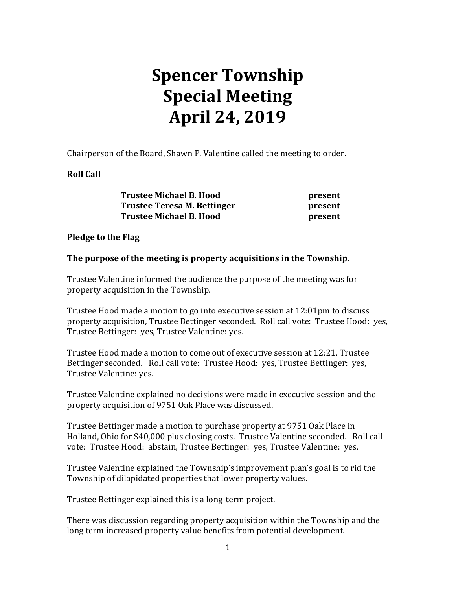# **Spencer Township Special Meeting April 24, 2019**

Chairperson of the Board, Shawn P. Valentine called the meeting to order.

# **Roll Call**

| <b>Trustee Michael B. Hood</b> | present |
|--------------------------------|---------|
| Trustee Teresa M. Bettinger    | present |
| <b>Trustee Michael B. Hood</b> | present |

### **Pledge to the Flag**

# **The purpose of the meeting is property acquisitions in the Township.**

Trustee Valentine informed the audience the purpose of the meeting was for property acquisition in the Township.

Trustee Hood made a motion to go into executive session at 12:01pm to discuss property acquisition, Trustee Bettinger seconded. Roll call vote: Trustee Hood: yes, Trustee Bettinger: yes, Trustee Valentine: yes.

Trustee Hood made a motion to come out of executive session at 12:21, Trustee Bettinger seconded. Roll call vote: Trustee Hood: yes, Trustee Bettinger: yes, Trustee Valentine: yes.

Trustee Valentine explained no decisions were made in executive session and the property acquisition of 9751 Oak Place was discussed.

Trustee Bettinger made a motion to purchase property at 9751 Oak Place in Holland, Ohio for \$40,000 plus closing costs. Trustee Valentine seconded. Roll call vote: Trustee Hood: abstain, Trustee Bettinger: yes, Trustee Valentine: yes.

Trustee Valentine explained the Township's improvement plan's goal is to rid the Township of dilapidated properties that lower property values.

Trustee Bettinger explained this is a long-term project.

There was discussion regarding property acquisition within the Township and the long term increased property value benefits from potential development.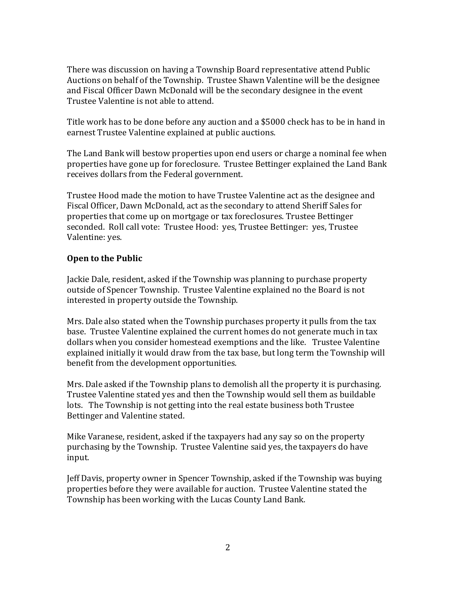There was discussion on having a Township Board representative attend Public Auctions on behalf of the Township. Trustee Shawn Valentine will be the designee and Fiscal Officer Dawn McDonald will be the secondary designee in the event Trustee Valentine is not able to attend.

Title work has to be done before any auction and a \$5000 check has to be in hand in earnest Trustee Valentine explained at public auctions.

The Land Bank will bestow properties upon end users or charge a nominal fee when properties have gone up for foreclosure. Trustee Bettinger explained the Land Bank receives dollars from the Federal government.

Trustee Hood made the motion to have Trustee Valentine act as the designee and Fiscal Officer, Dawn McDonald, act as the secondary to attend Sheriff Sales for properties that come up on mortgage or tax foreclosures. Trustee Bettinger seconded. Roll call vote: Trustee Hood: yes, Trustee Bettinger: yes, Trustee Valentine: yes.

### **Open to the Public**

Jackie Dale, resident, asked if the Township was planning to purchase property outside of Spencer Township. Trustee Valentine explained no the Board is not interested in property outside the Township.

Mrs. Dale also stated when the Township purchases property it pulls from the tax base. Trustee Valentine explained the current homes do not generate much in tax dollars when you consider homestead exemptions and the like. Trustee Valentine explained initially it would draw from the tax base, but long term the Township will benefit from the development opportunities.

Mrs. Dale asked if the Township plans to demolish all the property it is purchasing. Trustee Valentine stated yes and then the Township would sell them as buildable lots. The Township is not getting into the real estate business both Trustee Bettinger and Valentine stated.

Mike Varanese, resident, asked if the taxpayers had any say so on the property purchasing by the Township. Trustee Valentine said yes, the taxpayers do have input.

Jeff Davis, property owner in Spencer Township, asked if the Township was buying properties before they were available for auction. Trustee Valentine stated the Township has been working with the Lucas County Land Bank.